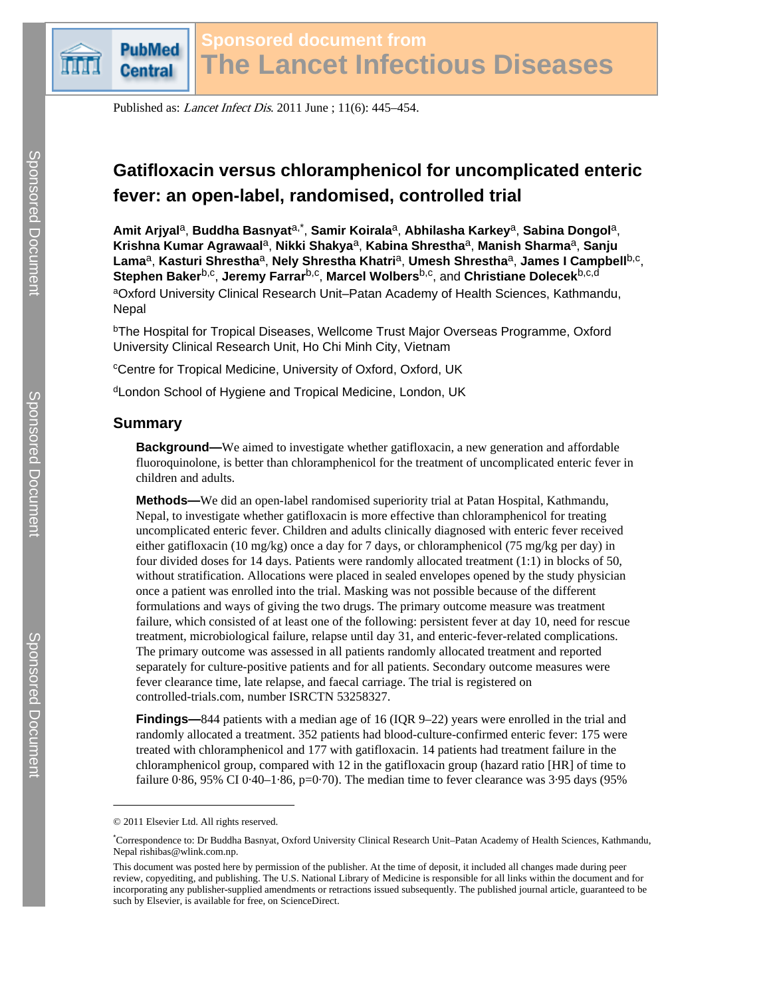

Published as: Lancet Infect Dis. 2011 June ; 11(6): 445–454.

# **Gatifloxacin versus chloramphenicol for uncomplicated enteric fever: an open-label, randomised, controlled trial**

**Amit Arjyal**a, **Buddha Basnyat**a,\* , **Samir Koirala**a, **Abhilasha Karkey**a, **Sabina Dongol**a, **Krishna Kumar Agrawaal**a, **Nikki Shakya**a, **Kabina Shrestha**a, **Manish Sharma**a, **Sanju Lama**a, **Kasturi Shrestha**a, **Nely Shrestha Khatri**a, **Umesh Shrestha**a, **James I Campbell**b,c ,  ${\sf Step}$ hen  ${\sf Baker}^{{\sf b}, {\sf c}},$  Jeremy Farrar<sup>b,c</sup>, Marcel Wolbers<sup>b,c</sup>, and  ${\sf Christopher}^{{\sf b}, {\sf c}}$ 

aOxford University Clinical Research Unit–Patan Academy of Health Sciences, Kathmandu, Nepal

<sup>b</sup>The Hospital for Tropical Diseases, Wellcome Trust Major Overseas Programme, Oxford University Clinical Research Unit, Ho Chi Minh City, Vietnam

<sup>c</sup>Centre for Tropical Medicine, University of Oxford, Oxford, UK

<sup>d</sup>London School of Hygiene and Tropical Medicine, London, UK

## **Summary**

**Background—**We aimed to investigate whether gatifloxacin, a new generation and affordable fluoroquinolone, is better than chloramphenicol for the treatment of uncomplicated enteric fever in children and adults.

**Methods—**We did an open-label randomised superiority trial at Patan Hospital, Kathmandu, Nepal, to investigate whether gatifloxacin is more effective than chloramphenicol for treating uncomplicated enteric fever. Children and adults clinically diagnosed with enteric fever received either gatifloxacin (10 mg/kg) once a day for 7 days, or chloramphenicol (75 mg/kg per day) in four divided doses for 14 days. Patients were randomly allocated treatment (1:1) in blocks of 50, without stratification. Allocations were placed in sealed envelopes opened by the study physician once a patient was enrolled into the trial. Masking was not possible because of the different formulations and ways of giving the two drugs. The primary outcome measure was treatment failure, which consisted of at least one of the following: persistent fever at day 10, need for rescue treatment, microbiological failure, relapse until day 31, and enteric-fever-related complications. The primary outcome was assessed in all patients randomly allocated treatment and reported separately for culture-positive patients and for all patients. Secondary outcome measures were fever clearance time, late relapse, and faecal carriage. The trial is registered on [controlled-trials.com,](http://controlled-trials.com) number ISRCTN 53258327.

**Findings—**844 patients with a median age of 16 (IQR 9–22) years were enrolled in the trial and randomly allocated a treatment. 352 patients had blood-culture-confirmed enteric fever: 175 were treated with chloramphenicol and 177 with gatifloxacin. 14 patients had treatment failure in the chloramphenicol group, compared with 12 in the gatifloxacin group (hazard ratio [HR] of time to failure  $0.86$ ,  $95\%$  CI  $0.40-1.86$ ,  $p=0.70$ ). The median time to fever clearance was  $3.95$  days ( $95\%$ 

<sup>© 2011</sup> Elsevier Ltd. All rights reserved.

<sup>\*</sup>Correspondence to: Dr Buddha Basnyat, Oxford University Clinical Research Unit–Patan Academy of Health Sciences, Kathmandu, Nepal rishibas@wlink.com.np.

This document was posted here by permission of the publisher. At the time of deposit, it included all changes made during peer review, copyediting, and publishing. The U.S. National Library of Medicine is responsible for all links within the document and for incorporating any publisher-supplied amendments or retractions issued subsequently. The published journal article, guaranteed to be such by Elsevier, is available for free, on ScienceDirect.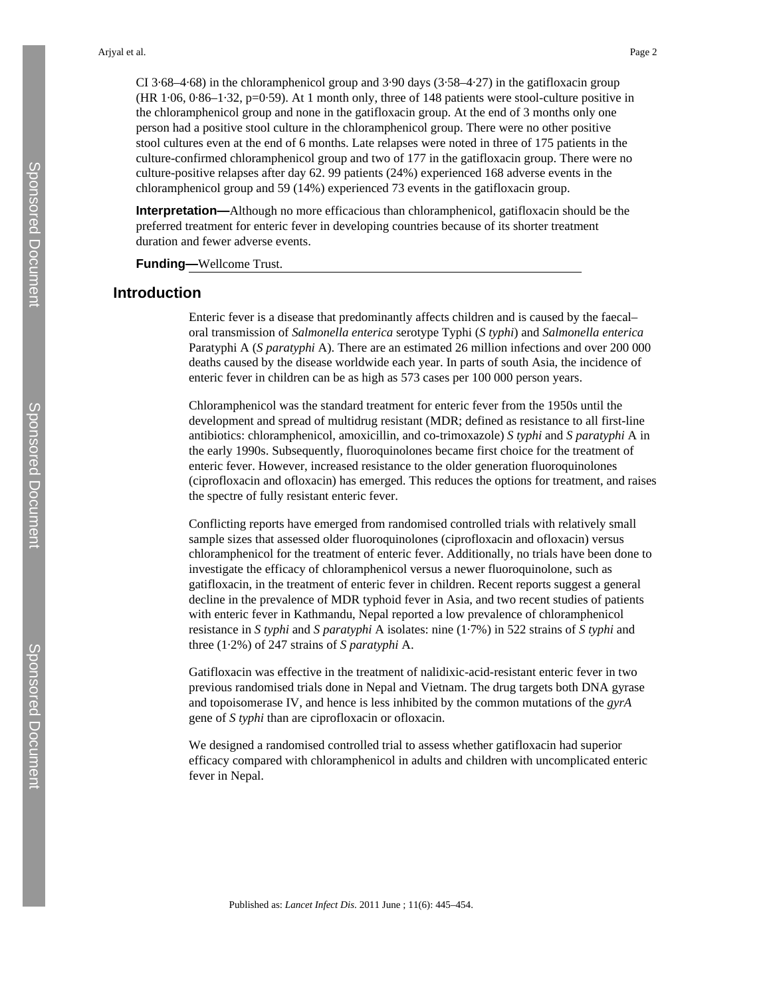CI 3·68–4·68) in the chloramphenicol group and 3·90 days (3·58–4·27) in the gatifloxacin group (HR 1·06, 0·86–1·32, p=0·59). At 1 month only, three of 148 patients were stool-culture positive in the chloramphenicol group and none in the gatifloxacin group. At the end of 3 months only one person had a positive stool culture in the chloramphenicol group. There were no other positive stool cultures even at the end of 6 months. Late relapses were noted in three of 175 patients in the culture-confirmed chloramphenicol group and two of 177 in the gatifloxacin group. There were no culture-positive relapses after day 62. 99 patients (24%) experienced 168 adverse events in the chloramphenicol group and 59 (14%) experienced 73 events in the gatifloxacin group.

**Interpretation—**Although no more efficacious than chloramphenicol, gatifloxacin should be the preferred treatment for enteric fever in developing countries because of its shorter treatment duration and fewer adverse events.

**Funding—**Wellcome Trust.

## **Introduction**

Enteric fever is a disease that predominantly affects children and is caused by the faecal– oral transmission of *Salmonella enterica* serotype Typhi (*S typhi*) and *Salmonella enterica* Paratyphi A (*S paratyphi* A). There are an estimated 26 million infections and over 200 000 deaths caused by the disease worldwide each year. In parts of south Asia, the incidence of enteric fever in children can be as high as 573 cases per 100 000 person years.

Chloramphenicol was the standard treatment for enteric fever from the 1950s until the development and spread of multidrug resistant (MDR; defined as resistance to all first-line antibiotics: chloramphenicol, amoxicillin, and co-trimoxazole) *S typhi* and *S paratyphi* A in the early 1990s. Subsequently, fluoroquinolones became first choice for the treatment of enteric fever. However, increased resistance to the older generation fluoroquinolones (ciprofloxacin and ofloxacin) has emerged. This reduces the options for treatment, and raises the spectre of fully resistant enteric fever.

Conflicting reports have emerged from randomised controlled trials with relatively small sample sizes that assessed older fluoroquinolones (ciprofloxacin and ofloxacin) versus chloramphenicol for the treatment of enteric fever. Additionally, no trials have been done to investigate the efficacy of chloramphenicol versus a newer fluoroquinolone, such as gatifloxacin, in the treatment of enteric fever in children. Recent reports suggest a general decline in the prevalence of MDR typhoid fever in Asia, and two recent studies of patients with enteric fever in Kathmandu, Nepal reported a low prevalence of chloramphenicol resistance in *S typhi* and *S paratyphi* A isolates: nine (1·7%) in 522 strains of *S typhi* and three (1·2%) of 247 strains of *S paratyphi* A.

Gatifloxacin was effective in the treatment of nalidixic-acid-resistant enteric fever in two previous randomised trials done in Nepal and Vietnam. The drug targets both DNA gyrase and topoisomerase IV, and hence is less inhibited by the common mutations of the *gyrA* gene of *S typhi* than are ciprofloxacin or ofloxacin.

We designed a randomised controlled trial to assess whether gatifloxacin had superior efficacy compared with chloramphenicol in adults and children with uncomplicated enteric fever in Nepal.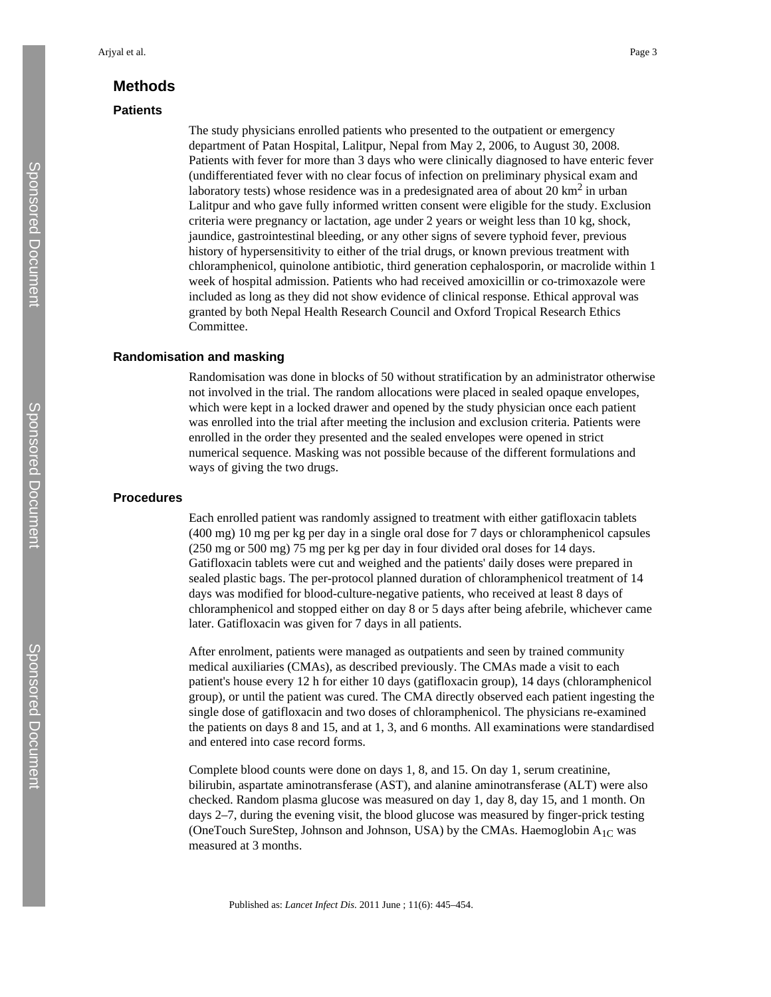## **Methods**

## **Patients**

The study physicians enrolled patients who presented to the outpatient or emergency department of Patan Hospital, Lalitpur, Nepal from May 2, 2006, to August 30, 2008. Patients with fever for more than 3 days who were clinically diagnosed to have enteric fever (undifferentiated fever with no clear focus of infection on preliminary physical exam and laboratory tests) whose residence was in a predesignated area of about  $20 \text{ km}^2$  in urban Lalitpur and who gave fully informed written consent were eligible for the study. Exclusion criteria were pregnancy or lactation, age under 2 years or weight less than 10 kg, shock, jaundice, gastrointestinal bleeding, or any other signs of severe typhoid fever, previous history of hypersensitivity to either of the trial drugs, or known previous treatment with chloramphenicol, quinolone antibiotic, third generation cephalosporin, or macrolide within 1 week of hospital admission. Patients who had received amoxicillin or co-trimoxazole were included as long as they did not show evidence of clinical response. Ethical approval was granted by both Nepal Health Research Council and Oxford Tropical Research Ethics Committee.

## **Randomisation and masking**

Randomisation was done in blocks of 50 without stratification by an administrator otherwise not involved in the trial. The random allocations were placed in sealed opaque envelopes, which were kept in a locked drawer and opened by the study physician once each patient was enrolled into the trial after meeting the inclusion and exclusion criteria. Patients were enrolled in the order they presented and the sealed envelopes were opened in strict numerical sequence. Masking was not possible because of the different formulations and ways of giving the two drugs.

#### **Procedures**

Each enrolled patient was randomly assigned to treatment with either gatifloxacin tablets (400 mg) 10 mg per kg per day in a single oral dose for 7 days or chloramphenicol capsules (250 mg or 500 mg) 75 mg per kg per day in four divided oral doses for 14 days. Gatifloxacin tablets were cut and weighed and the patients' daily doses were prepared in sealed plastic bags. The per-protocol planned duration of chloramphenicol treatment of 14 days was modified for blood-culture-negative patients, who received at least 8 days of chloramphenicol and stopped either on day 8 or 5 days after being afebrile, whichever came later. Gatifloxacin was given for 7 days in all patients.

After enrolment, patients were managed as outpatients and seen by trained community medical auxiliaries (CMAs), as described previously. The CMAs made a visit to each patient's house every 12 h for either 10 days (gatifloxacin group), 14 days (chloramphenicol group), or until the patient was cured. The CMA directly observed each patient ingesting the single dose of gatifloxacin and two doses of chloramphenicol. The physicians re-examined the patients on days 8 and 15, and at 1, 3, and 6 months. All examinations were standardised and entered into case record forms.

Complete blood counts were done on days 1, 8, and 15. On day 1, serum creatinine, bilirubin, aspartate aminotransferase (AST), and alanine aminotransferase (ALT) were also checked. Random plasma glucose was measured on day 1, day 8, day 15, and 1 month. On days 2–7, during the evening visit, the blood glucose was measured by finger-prick testing (OneTouch SureStep, Johnson and Johnson, USA) by the CMAs. Haemoglobin  $A_{1C}$  was measured at 3 months.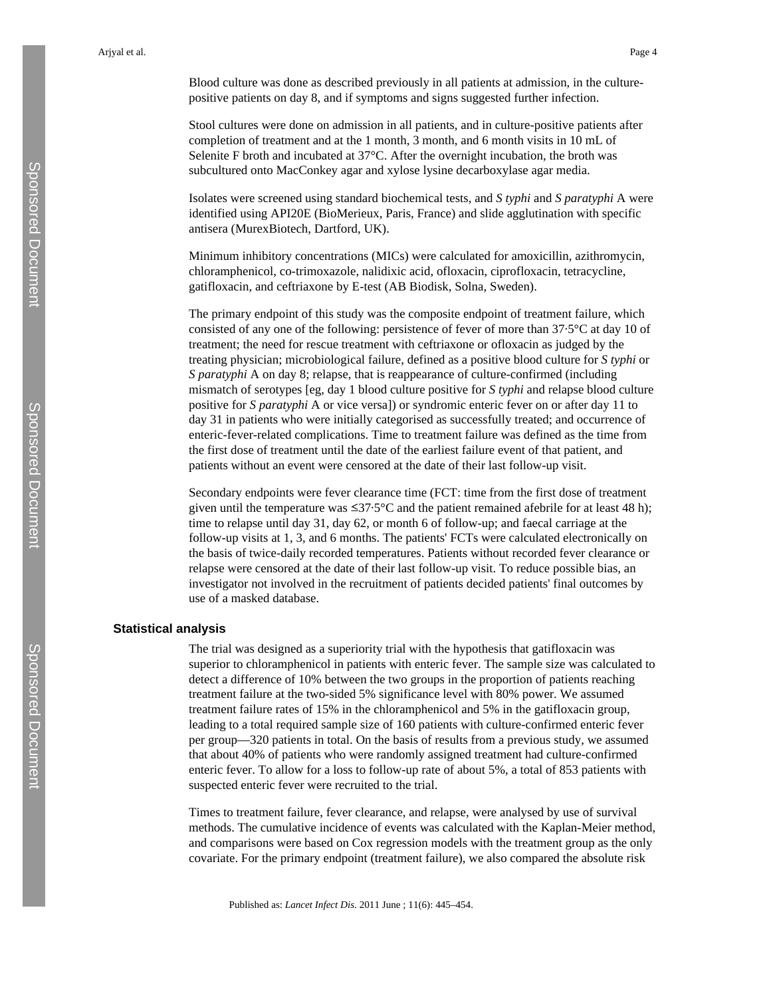Blood culture was done as described previously in all patients at admission, in the culturepositive patients on day 8, and if symptoms and signs suggested further infection.

Stool cultures were done on admission in all patients, and in culture-positive patients after completion of treatment and at the 1 month, 3 month, and 6 month visits in 10 mL of Selenite F broth and incubated at 37°C. After the overnight incubation, the broth was subcultured onto MacConkey agar and xylose lysine decarboxylase agar media.

Isolates were screened using standard biochemical tests, and *S typhi* and *S paratyphi* A were identified using API20E (BioMerieux, Paris, France) and slide agglutination with specific antisera (MurexBiotech, Dartford, UK).

Minimum inhibitory concentrations (MICs) were calculated for amoxicillin, azithromycin, chloramphenicol, co-trimoxazole, nalidixic acid, ofloxacin, ciprofloxacin, tetracycline, gatifloxacin, and ceftriaxone by E-test (AB Biodisk, Solna, Sweden).

The primary endpoint of this study was the composite endpoint of treatment failure, which consisted of any one of the following: persistence of fever of more than 37·5°C at day 10 of treatment; the need for rescue treatment with ceftriaxone or ofloxacin as judged by the treating physician; microbiological failure, defined as a positive blood culture for *S typhi* or *S paratyphi* A on day 8; relapse, that is reappearance of culture-confirmed (including mismatch of serotypes [eg, day 1 blood culture positive for *S typhi* and relapse blood culture positive for *S paratyphi* A or vice versa]) or syndromic enteric fever on or after day 11 to day 31 in patients who were initially categorised as successfully treated; and occurrence of enteric-fever-related complications. Time to treatment failure was defined as the time from the first dose of treatment until the date of the earliest failure event of that patient, and patients without an event were censored at the date of their last follow-up visit.

Secondary endpoints were fever clearance time (FCT: time from the first dose of treatment given until the temperature was  $\leq 37.5^{\circ}$ C and the patient remained afebrile for at least 48 h); time to relapse until day 31, day 62, or month 6 of follow-up; and faecal carriage at the follow-up visits at 1, 3, and 6 months. The patients' FCTs were calculated electronically on the basis of twice-daily recorded temperatures. Patients without recorded fever clearance or relapse were censored at the date of their last follow-up visit. To reduce possible bias, an investigator not involved in the recruitment of patients decided patients' final outcomes by use of a masked database.

#### **Statistical analysis**

The trial was designed as a superiority trial with the hypothesis that gatifloxacin was superior to chloramphenicol in patients with enteric fever. The sample size was calculated to detect a difference of 10% between the two groups in the proportion of patients reaching treatment failure at the two-sided 5% significance level with 80% power. We assumed treatment failure rates of 15% in the chloramphenicol and 5% in the gatifloxacin group, leading to a total required sample size of 160 patients with culture-confirmed enteric fever per group—320 patients in total. On the basis of results from a previous study, we assumed that about 40% of patients who were randomly assigned treatment had culture-confirmed enteric fever. To allow for a loss to follow-up rate of about 5%, a total of 853 patients with suspected enteric fever were recruited to the trial.

Times to treatment failure, fever clearance, and relapse, were analysed by use of survival methods. The cumulative incidence of events was calculated with the Kaplan-Meier method, and comparisons were based on Cox regression models with the treatment group as the only covariate. For the primary endpoint (treatment failure), we also compared the absolute risk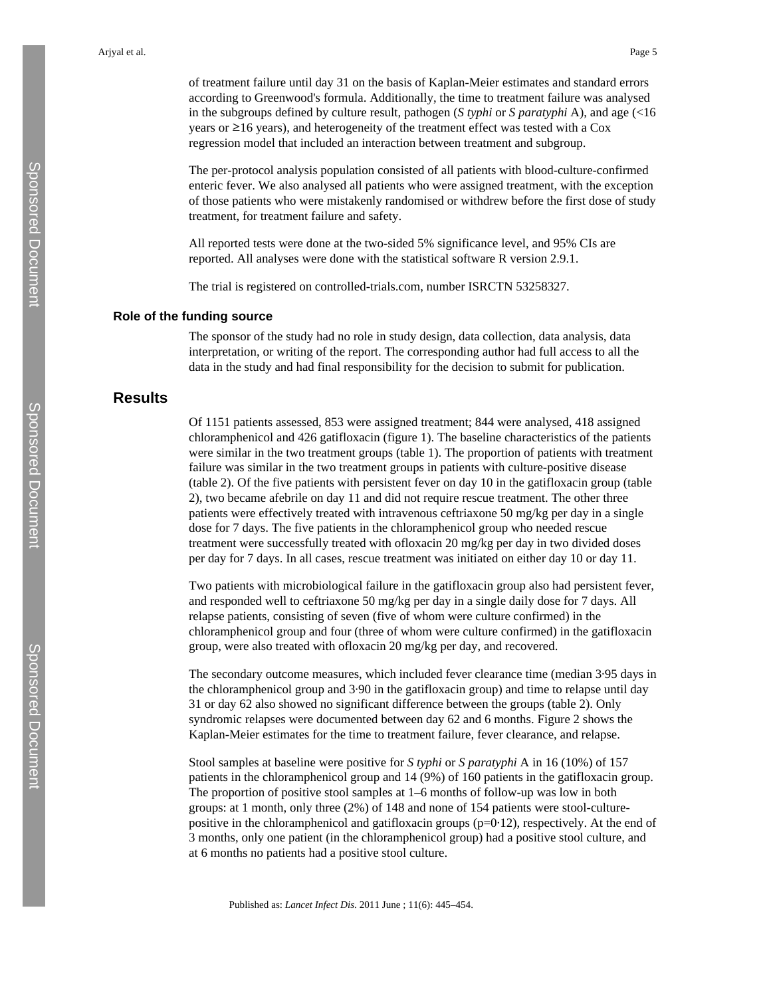of treatment failure until day 31 on the basis of Kaplan-Meier estimates and standard errors according to Greenwood's formula. Additionally, the time to treatment failure was analysed in the subgroups defined by culture result, pathogen (*S typhi* or *S paratyphi* A), and age (<16 years or  $\geq$ 16 years), and heterogeneity of the treatment effect was tested with a Cox regression model that included an interaction between treatment and subgroup.

The per-protocol analysis population consisted of all patients with blood-culture-confirmed enteric fever. We also analysed all patients who were assigned treatment, with the exception of those patients who were mistakenly randomised or withdrew before the first dose of study treatment, for treatment failure and safety.

All reported tests were done at the two-sided 5% significance level, and 95% CIs are reported. All analyses were done with the statistical software R version 2.9.1.

The trial is registered on [controlled-trials.com,](http://controlled-trials.com) number ISRCTN 53258327.

#### **Role of the funding source**

The sponsor of the study had no role in study design, data collection, data analysis, data interpretation, or writing of the report. The corresponding author had full access to all the data in the study and had final responsibility for the decision to submit for publication.

## **Results**

Of 1151 patients assessed, 853 were assigned treatment; 844 were analysed, 418 assigned chloramphenicol and 426 gatifloxacin (figure 1). The baseline characteristics of the patients were similar in the two treatment groups (table 1). The proportion of patients with treatment failure was similar in the two treatment groups in patients with culture-positive disease (table 2). Of the five patients with persistent fever on day 10 in the gatifloxacin group (table 2), two became afebrile on day 11 and did not require rescue treatment. The other three patients were effectively treated with intravenous ceftriaxone 50 mg/kg per day in a single dose for 7 days. The five patients in the chloramphenicol group who needed rescue treatment were successfully treated with ofloxacin 20 mg/kg per day in two divided doses per day for 7 days. In all cases, rescue treatment was initiated on either day 10 or day 11.

Two patients with microbiological failure in the gatifloxacin group also had persistent fever, and responded well to ceftriaxone 50 mg/kg per day in a single daily dose for 7 days. All relapse patients, consisting of seven (five of whom were culture confirmed) in the chloramphenicol group and four (three of whom were culture confirmed) in the gatifloxacin group, were also treated with ofloxacin 20 mg/kg per day, and recovered.

The secondary outcome measures, which included fever clearance time (median 3·95 days in the chloramphenicol group and 3·90 in the gatifloxacin group) and time to relapse until day 31 or day 62 also showed no significant difference between the groups (table 2). Only syndromic relapses were documented between day 62 and 6 months. Figure 2 shows the Kaplan-Meier estimates for the time to treatment failure, fever clearance, and relapse.

Stool samples at baseline were positive for *S typhi* or *S paratyphi* A in 16 (10%) of 157 patients in the chloramphenicol group and 14 (9%) of 160 patients in the gatifloxacin group. The proportion of positive stool samples at 1–6 months of follow-up was low in both groups: at 1 month, only three (2%) of 148 and none of 154 patients were stool-culturepositive in the chloramphenicol and gatifloxacin groups ( $p=0.12$ ), respectively. At the end of 3 months, only one patient (in the chloramphenicol group) had a positive stool culture, and at 6 months no patients had a positive stool culture.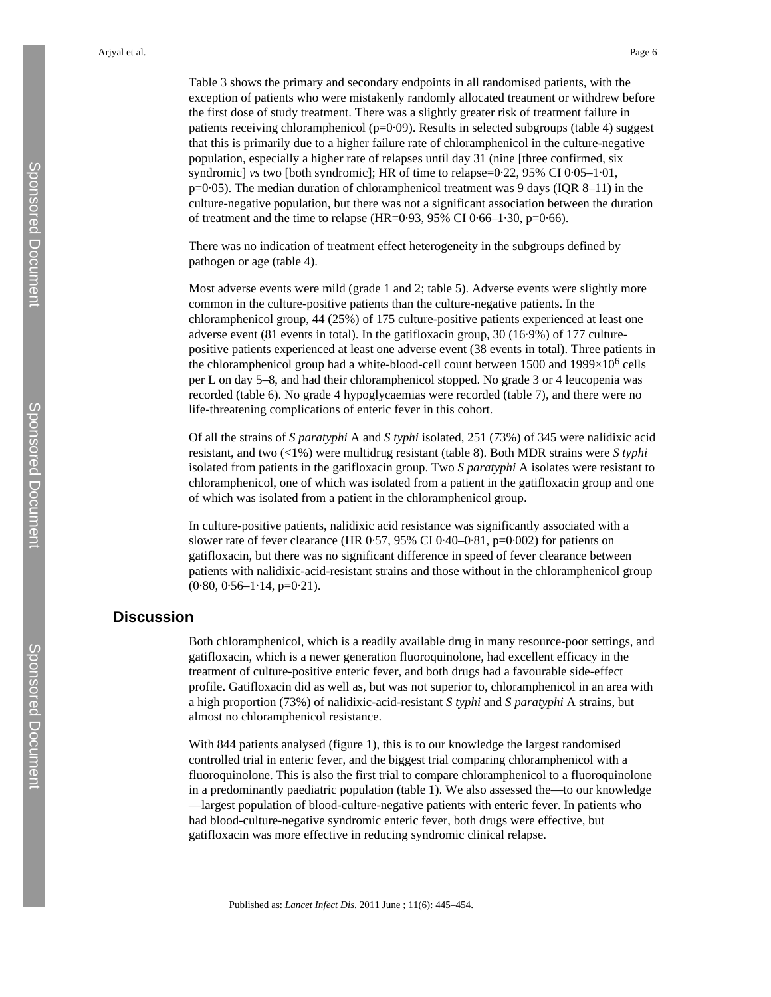Table 3 shows the primary and secondary endpoints in all randomised patients, with the exception of patients who were mistakenly randomly allocated treatment or withdrew before the first dose of study treatment. There was a slightly greater risk of treatment failure in patients receiving chloramphenicol ( $p=0.09$ ). Results in selected subgroups (table 4) suggest that this is primarily due to a higher failure rate of chloramphenicol in the culture-negative population, especially a higher rate of relapses until day 31 (nine [three confirmed, six syndromic] *vs* two [both syndromic]; HR of time to relapse=0·22, 95% CI 0·05–1·01,  $p=0.05$ ). The median duration of chloramphenicol treatment was 9 days (IQR 8–11) in the culture-negative population, but there was not a significant association between the duration of treatment and the time to relapse (HR=0.93, 95% CI 0.66–1.30, p=0.66).

There was no indication of treatment effect heterogeneity in the subgroups defined by pathogen or age (table 4).

Most adverse events were mild (grade 1 and 2; table 5). Adverse events were slightly more common in the culture-positive patients than the culture-negative patients. In the chloramphenicol group, 44 (25%) of 175 culture-positive patients experienced at least one adverse event (81 events in total). In the gatifloxacin group, 30 (16·9%) of 177 culturepositive patients experienced at least one adverse event (38 events in total). Three patients in the chloramphenicol group had a white-blood-cell count between 1500 and  $1999\times10^6$  cells per L on day 5–8, and had their chloramphenicol stopped. No grade 3 or 4 leucopenia was recorded (table 6). No grade 4 hypoglycaemias were recorded (table 7), and there were no life-threatening complications of enteric fever in this cohort.

Of all the strains of *S paratyphi* A and *S typhi* isolated, 251 (73%) of 345 were nalidixic acid resistant, and two (<1%) were multidrug resistant (table 8). Both MDR strains were *S typhi* isolated from patients in the gatifloxacin group. Two *S paratyphi* A isolates were resistant to chloramphenicol, one of which was isolated from a patient in the gatifloxacin group and one of which was isolated from a patient in the chloramphenicol group.

In culture-positive patients, nalidixic acid resistance was significantly associated with a slower rate of fever clearance (HR 0·57, 95% CI 0·40–0·81, p=0·002) for patients on gatifloxacin, but there was no significant difference in speed of fever clearance between patients with nalidixic-acid-resistant strains and those without in the chloramphenicol group  $(0.80, 0.56-1.14, p=0.21).$ 

## **Discussion**

Both chloramphenicol, which is a readily available drug in many resource-poor settings, and gatifloxacin, which is a newer generation fluoroquinolone, had excellent efficacy in the treatment of culture-positive enteric fever, and both drugs had a favourable side-effect profile. Gatifloxacin did as well as, but was not superior to, chloramphenicol in an area with a high proportion (73%) of nalidixic-acid-resistant *S typhi* and *S paratyphi* A strains, but almost no chloramphenicol resistance.

With 844 patients analysed (figure 1), this is to our knowledge the largest randomised controlled trial in enteric fever, and the biggest trial comparing chloramphenicol with a fluoroquinolone. This is also the first trial to compare chloramphenicol to a fluoroquinolone in a predominantly paediatric population (table 1). We also assessed the—to our knowledge —largest population of blood-culture-negative patients with enteric fever. In patients who had blood-culture-negative syndromic enteric fever, both drugs were effective, but gatifloxacin was more effective in reducing syndromic clinical relapse.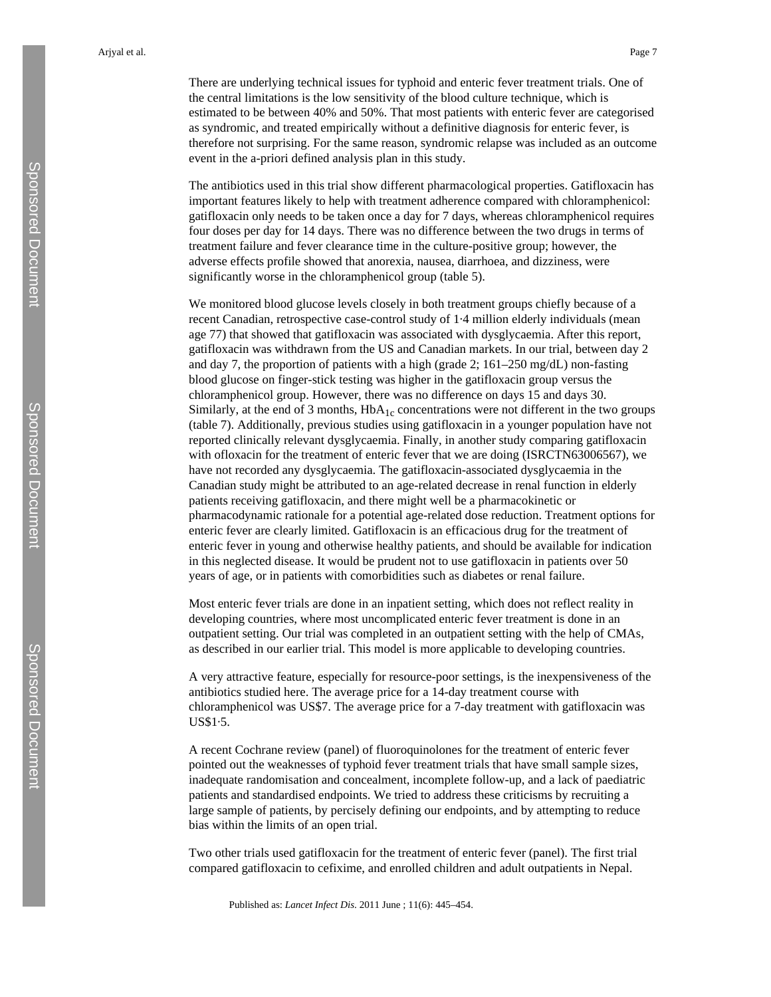There are underlying technical issues for typhoid and enteric fever treatment trials. One of the central limitations is the low sensitivity of the blood culture technique, which is estimated to be between 40% and 50%. That most patients with enteric fever are categorised as syndromic, and treated empirically without a definitive diagnosis for enteric fever, is therefore not surprising. For the same reason, syndromic relapse was included as an outcome event in the a-priori defined analysis plan in this study.

The antibiotics used in this trial show different pharmacological properties. Gatifloxacin has important features likely to help with treatment adherence compared with chloramphenicol: gatifloxacin only needs to be taken once a day for 7 days, whereas chloramphenicol requires four doses per day for 14 days. There was no difference between the two drugs in terms of treatment failure and fever clearance time in the culture-positive group; however, the adverse effects profile showed that anorexia, nausea, diarrhoea, and dizziness, were significantly worse in the chloramphenicol group (table 5).

We monitored blood glucose levels closely in both treatment groups chiefly because of a recent Canadian, retrospective case-control study of 1·4 million elderly individuals (mean age 77) that showed that gatifloxacin was associated with dysglycaemia. After this report, gatifloxacin was withdrawn from the US and Canadian markets. In our trial, between day 2 and day 7, the proportion of patients with a high (grade 2; 161–250 mg/dL) non-fasting blood glucose on finger-stick testing was higher in the gatifloxacin group versus the chloramphenicol group. However, there was no difference on days 15 and days 30. Similarly, at the end of 3 months,  $HbA_{1c}$  concentrations were not different in the two groups (table 7). Additionally, previous studies using gatifloxacin in a younger population have not reported clinically relevant dysglycaemia. Finally, in another study comparing gatifloxacin with of loxacin for the treatment of enteric fever that we are doing (ISRCTN63006567), we have not recorded any dysglycaemia. The gatifloxacin-associated dysglycaemia in the Canadian study might be attributed to an age-related decrease in renal function in elderly patients receiving gatifloxacin, and there might well be a pharmacokinetic or pharmacodynamic rationale for a potential age-related dose reduction. Treatment options for enteric fever are clearly limited. Gatifloxacin is an efficacious drug for the treatment of enteric fever in young and otherwise healthy patients, and should be available for indication in this neglected disease. It would be prudent not to use gatifloxacin in patients over 50 years of age, or in patients with comorbidities such as diabetes or renal failure.

Most enteric fever trials are done in an inpatient setting, which does not reflect reality in developing countries, where most uncomplicated enteric fever treatment is done in an outpatient setting. Our trial was completed in an outpatient setting with the help of CMAs, as described in our earlier trial. This model is more applicable to developing countries.

A very attractive feature, especially for resource-poor settings, is the inexpensiveness of the antibiotics studied here. The average price for a 14-day treatment course with chloramphenicol was US\$7. The average price for a 7-day treatment with gatifloxacin was US\$1·5.

A recent Cochrane review (panel) of fluoroquinolones for the treatment of enteric fever pointed out the weaknesses of typhoid fever treatment trials that have small sample sizes, inadequate randomisation and concealment, incomplete follow-up, and a lack of paediatric patients and standardised endpoints. We tried to address these criticisms by recruiting a large sample of patients, by percisely defining our endpoints, and by attempting to reduce bias within the limits of an open trial.

Two other trials used gatifloxacin for the treatment of enteric fever (panel). The first trial compared gatifloxacin to cefixime, and enrolled children and adult outpatients in Nepal.

Published as: *Lancet Infect Dis*. 2011 June ; 11(6): 445–454.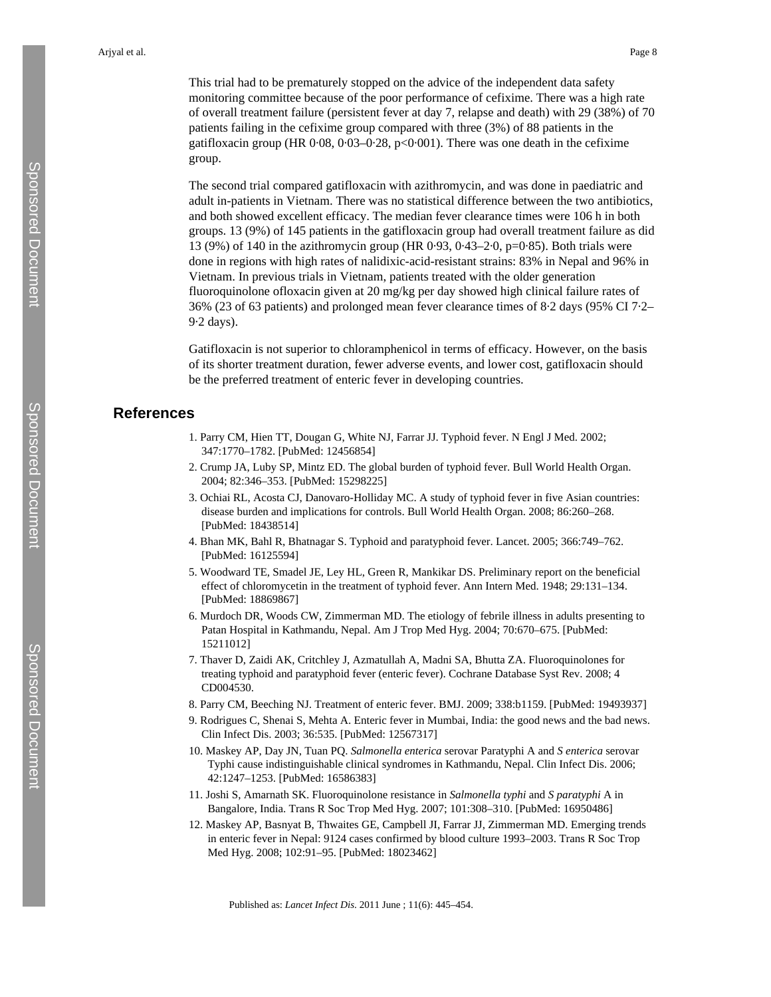This trial had to be prematurely stopped on the advice of the independent data safety monitoring committee because of the poor performance of cefixime. There was a high rate of overall treatment failure (persistent fever at day 7, relapse and death) with 29 (38%) of 70 patients failing in the cefixime group compared with three (3%) of 88 patients in the gatifloxacin group (HR 0·08, 0·03–0·28, p<0·001). There was one death in the cefixime group.

The second trial compared gatifloxacin with azithromycin, and was done in paediatric and adult in-patients in Vietnam. There was no statistical difference between the two antibiotics, and both showed excellent efficacy. The median fever clearance times were 106 h in both groups. 13 (9%) of 145 patients in the gatifloxacin group had overall treatment failure as did 13 (9%) of 140 in the azithromycin group (HR 0·93, 0·43–2·0, p=0·85). Both trials were done in regions with high rates of nalidixic-acid-resistant strains: 83% in Nepal and 96% in Vietnam. In previous trials in Vietnam, patients treated with the older generation fluoroquinolone ofloxacin given at 20 mg/kg per day showed high clinical failure rates of 36% (23 of 63 patients) and prolonged mean fever clearance times of 8·2 days (95% CI 7·2– 9·2 days).

Gatifloxacin is not superior to chloramphenicol in terms of efficacy. However, on the basis of its shorter treatment duration, fewer adverse events, and lower cost, gatifloxacin should be the preferred treatment of enteric fever in developing countries.

## **References**

- 1. Parry CM, Hien TT, Dougan G, White NJ, Farrar JJ. Typhoid fever. N Engl J Med. 2002; 347:1770–1782. [PubMed: 12456854]
- 2. Crump JA, Luby SP, Mintz ED. The global burden of typhoid fever. Bull World Health Organ. 2004; 82:346–353. [PubMed: 15298225]
- 3. Ochiai RL, Acosta CJ, Danovaro-Holliday MC. A study of typhoid fever in five Asian countries: disease burden and implications for controls. Bull World Health Organ. 2008; 86:260–268. [PubMed: 18438514]
- 4. Bhan MK, Bahl R, Bhatnagar S. Typhoid and paratyphoid fever. Lancet. 2005; 366:749–762. [PubMed: 16125594]
- 5. Woodward TE, Smadel JE, Ley HL, Green R, Mankikar DS. Preliminary report on the beneficial effect of chloromycetin in the treatment of typhoid fever. Ann Intern Med. 1948; 29:131–134. [PubMed: 18869867]
- 6. Murdoch DR, Woods CW, Zimmerman MD. The etiology of febrile illness in adults presenting to Patan Hospital in Kathmandu, Nepal. Am J Trop Med Hyg. 2004; 70:670–675. [PubMed: 15211012]
- 7. Thaver D, Zaidi AK, Critchley J, Azmatullah A, Madni SA, Bhutta ZA. Fluoroquinolones for treating typhoid and paratyphoid fever (enteric fever). Cochrane Database Syst Rev. 2008; 4 CD004530.
- 8. Parry CM, Beeching NJ. Treatment of enteric fever. BMJ. 2009; 338:b1159. [PubMed: 19493937]
- 9. Rodrigues C, Shenai S, Mehta A. Enteric fever in Mumbai, India: the good news and the bad news. Clin Infect Dis. 2003; 36:535. [PubMed: 12567317]
- 10. Maskey AP, Day JN, Tuan PQ. *Salmonella enterica* serovar Paratyphi A and *S enterica* serovar Typhi cause indistinguishable clinical syndromes in Kathmandu, Nepal. Clin Infect Dis. 2006; 42:1247–1253. [PubMed: 16586383]
- 11. Joshi S, Amarnath SK. Fluoroquinolone resistance in *Salmonella typhi* and *S paratyphi* A in Bangalore, India. Trans R Soc Trop Med Hyg. 2007; 101:308–310. [PubMed: 16950486]
- 12. Maskey AP, Basnyat B, Thwaites GE, Campbell JI, Farrar JJ, Zimmerman MD. Emerging trends in enteric fever in Nepal: 9124 cases confirmed by blood culture 1993–2003. Trans R Soc Trop Med Hyg. 2008; 102:91–95. [PubMed: 18023462]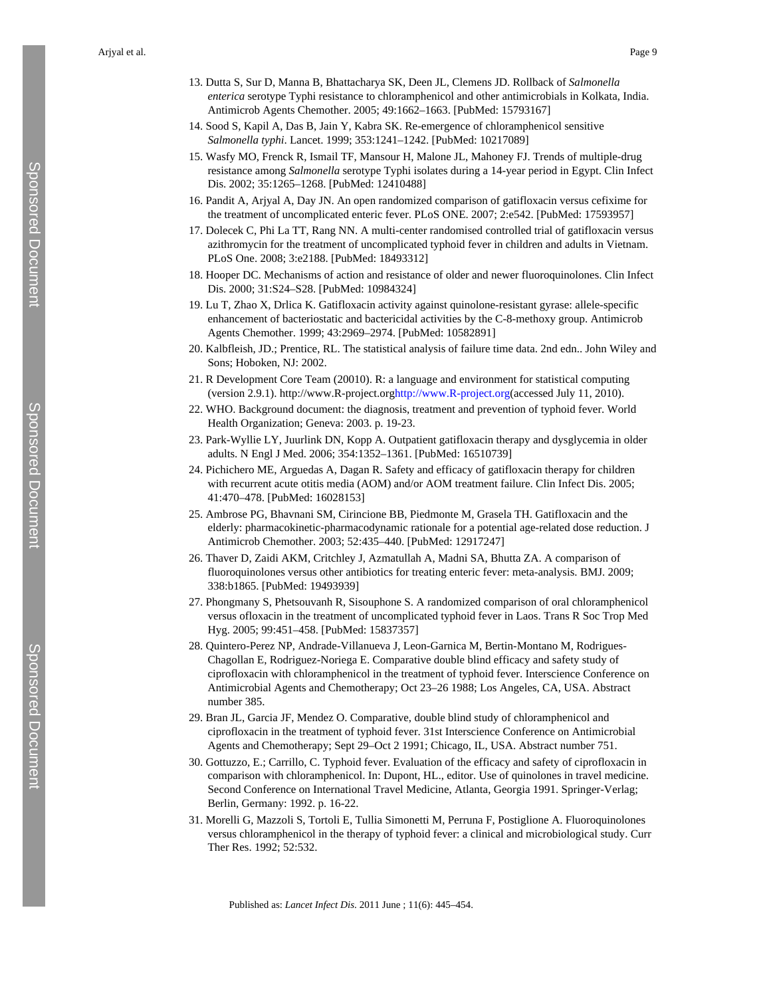Arjyal et al. Page 9

- 14. Sood S, Kapil A, Das B, Jain Y, Kabra SK. Re-emergence of chloramphenicol sensitive *Salmonella typhi*. Lancet. 1999; 353:1241–1242. [PubMed: 10217089]
- 15. Wasfy MO, Frenck R, Ismail TF, Mansour H, Malone JL, Mahoney FJ. Trends of multiple-drug resistance among *Salmonella* serotype Typhi isolates during a 14-year period in Egypt. Clin Infect Dis. 2002; 35:1265–1268. [PubMed: 12410488]
- 16. Pandit A, Arjyal A, Day JN. An open randomized comparison of gatifloxacin versus cefixime for the treatment of uncomplicated enteric fever. PLoS ONE. 2007; 2:e542. [PubMed: 17593957]
- 17. Dolecek C, Phi La TT, Rang NN. A multi-center randomised controlled trial of gatifloxacin versus azithromycin for the treatment of uncomplicated typhoid fever in children and adults in Vietnam. PLoS One. 2008; 3:e2188. [PubMed: 18493312]
- 18. Hooper DC. Mechanisms of action and resistance of older and newer fluoroquinolones. Clin Infect Dis. 2000; 31:S24–S28. [PubMed: 10984324]
- 19. Lu T, Zhao X, Drlica K. Gatifloxacin activity against quinolone-resistant gyrase: allele-specific enhancement of bacteriostatic and bactericidal activities by the C-8-methoxy group. Antimicrob Agents Chemother. 1999; 43:2969–2974. [PubMed: 10582891]
- 20. Kalbfleish, JD.; Prentice, RL. The statistical analysis of failure time data. 2nd edn.. John Wiley and Sons; Hoboken, NJ: 2002.
- 21. R Development Core Team (20010). R: a language and environment for statistical computing (version 2.9.1). http://www.R-project.org<http://www.R-project.org>(accessed July 11, 2010).
- 22. WHO. Background document: the diagnosis, treatment and prevention of typhoid fever. World Health Organization; Geneva: 2003. p. 19-23.
- 23. Park-Wyllie LY, Juurlink DN, Kopp A. Outpatient gatifloxacin therapy and dysglycemia in older adults. N Engl J Med. 2006; 354:1352–1361. [PubMed: 16510739]
- 24. Pichichero ME, Arguedas A, Dagan R. Safety and efficacy of gatifloxacin therapy for children with recurrent acute otitis media (AOM) and/or AOM treatment failure. Clin Infect Dis. 2005; 41:470–478. [PubMed: 16028153]
- 25. Ambrose PG, Bhavnani SM, Cirincione BB, Piedmonte M, Grasela TH. Gatifloxacin and the elderly: pharmacokinetic-pharmacodynamic rationale for a potential age-related dose reduction. J Antimicrob Chemother. 2003; 52:435–440. [PubMed: 12917247]
- 26. Thaver D, Zaidi AKM, Critchley J, Azmatullah A, Madni SA, Bhutta ZA. A comparison of fluoroquinolones versus other antibiotics for treating enteric fever: meta-analysis. BMJ. 2009; 338:b1865. [PubMed: 19493939]
- 27. Phongmany S, Phetsouvanh R, Sisouphone S. A randomized comparison of oral chloramphenicol versus ofloxacin in the treatment of uncomplicated typhoid fever in Laos. Trans R Soc Trop Med Hyg. 2005; 99:451–458. [PubMed: 15837357]
- 28. Quintero-Perez NP, Andrade-Villanueva J, Leon-Garnica M, Bertin-Montano M, Rodrigues-Chagollan E, Rodriguez-Noriega E. Comparative double blind efficacy and safety study of ciprofloxacin with chloramphenicol in the treatment of typhoid fever. Interscience Conference on Antimicrobial Agents and Chemotherapy; Oct 23–26 1988; Los Angeles, CA, USA. Abstract number 385.
- 29. Bran JL, Garcia JF, Mendez O. Comparative, double blind study of chloramphenicol and ciprofloxacin in the treatment of typhoid fever. 31st Interscience Conference on Antimicrobial Agents and Chemotherapy; Sept 29–Oct 2 1991; Chicago, IL, USA. Abstract number 751.
- 30. Gottuzzo, E.; Carrillo, C. Typhoid fever. Evaluation of the efficacy and safety of ciprofloxacin in comparison with chloramphenicol. In: Dupont, HL., editor. Use of quinolones in travel medicine. Second Conference on International Travel Medicine, Atlanta, Georgia 1991. Springer-Verlag; Berlin, Germany: 1992. p. 16-22.
- 31. Morelli G, Mazzoli S, Tortoli E, Tullia Simonetti M, Perruna F, Postiglione A. Fluoroquinolones versus chloramphenicol in the therapy of typhoid fever: a clinical and microbiological study. Curr Ther Res. 1992; 52:532.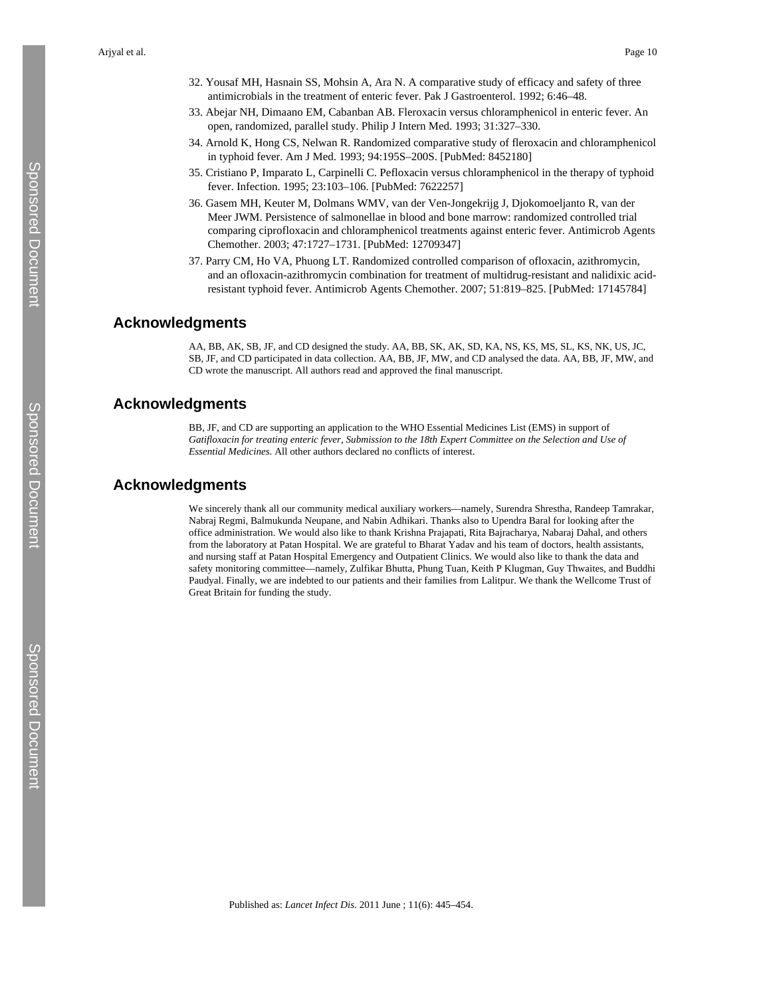- 32. Yousaf MH, Hasnain SS, Mohsin A, Ara N. A comparative study of efficacy and safety of three antimicrobials in the treatment of enteric fever. Pak J Gastroenterol. 1992; 6:46–48.
- 33. Abejar NH, Dimaano EM, Cabanban AB. Fleroxacin versus chloramphenicol in enteric fever. An open, randomized, parallel study. Philip J Intern Med. 1993; 31:327–330.
- 34. Arnold K, Hong CS, Nelwan R. Randomized comparative study of fleroxacin and chloramphenicol in typhoid fever. Am J Med. 1993; 94:195S–200S. [PubMed: 8452180]
- 35. Cristiano P, Imparato L, Carpinelli C. Pefloxacin versus chloramphenicol in the therapy of typhoid fever. Infection. 1995; 23:103–106. [PubMed: 7622257]
- 36. Gasem MH, Keuter M, Dolmans WMV, van der Ven-Jongekrijg J, Djokomoeljanto R, van der Meer JWM. Persistence of salmonellae in blood and bone marrow: randomized controlled trial comparing ciprofloxacin and chloramphenicol treatments against enteric fever. Antimicrob Agents Chemother. 2003; 47:1727–1731. [PubMed: 12709347]
- 37. Parry CM, Ho VA, Phuong LT. Randomized controlled comparison of ofloxacin, azithromycin, and an ofloxacin-azithromycin combination for treatment of multidrug-resistant and nalidixic acidresistant typhoid fever. Antimicrob Agents Chemother. 2007; 51:819–825. [PubMed: 17145784]

## **Acknowledgments**

AA, BB, AK, SB, JF, and CD designed the study. AA, BB, SK, AK, SD, KA, NS, KS, MS, SL, KS, NK, US, JC, SB, JF, and CD participated in data collection. AA, BB, JF, MW, and CD analysed the data. AA, BB, JF, MW, and CD wrote the manuscript. All authors read and approved the final manuscript.

## **Acknowledgments**

BB, JF, and CD are supporting an application to the WHO Essential Medicines List (EMS) in support of *Gatifloxacin for treating enteric fever, Submission to the 18th Expert Committee on the Selection and Use of Essential Medicines*. All other authors declared no conflicts of interest.

## **Acknowledgments**

We sincerely thank all our community medical auxiliary workers—namely, Surendra Shrestha, Randeep Tamrakar, Nabraj Regmi, Balmukunda Neupane, and Nabin Adhikari. Thanks also to Upendra Baral for looking after the office administration. We would also like to thank Krishna Prajapati, Rita Bajracharya, Nabaraj Dahal, and others from the laboratory at Patan Hospital. We are grateful to Bharat Yadav and his team of doctors, health assistants, and nursing staff at Patan Hospital Emergency and Outpatient Clinics. We would also like to thank the data and safety monitoring committee—namely, Zulfikar Bhutta, Phung Tuan, Keith P Klugman, Guy Thwaites, and Buddhi Paudyal. Finally, we are indebted to our patients and their families from Lalitpur. We thank the Wellcome Trust of Great Britain for funding the study.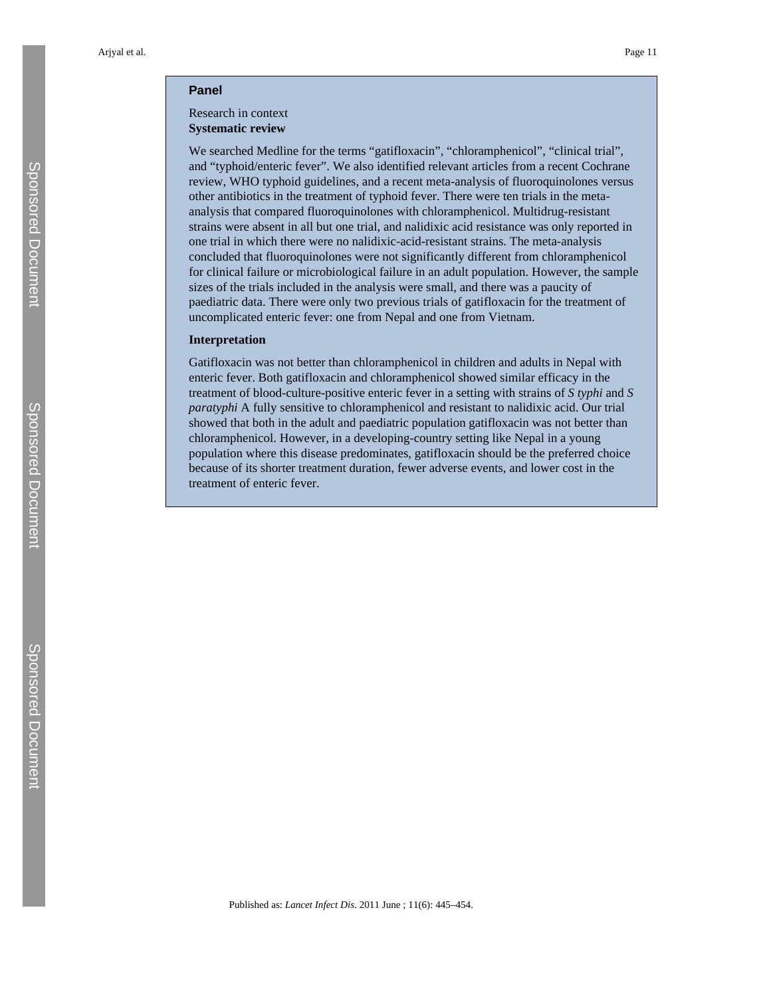#### **Panel**

#### Research in context **Systematic review**

We searched Medline for the terms "gatifloxacin", "chloramphenicol", "clinical trial", and "typhoid/enteric fever". We also identified relevant articles from a recent Cochrane review, WHO typhoid guidelines, and a recent meta-analysis of fluoroquinolones versus other antibiotics in the treatment of typhoid fever. There were ten trials in the metaanalysis that compared fluoroquinolones with chloramphenicol. Multidrug-resistant strains were absent in all but one trial, and nalidixic acid resistance was only reported in one trial in which there were no nalidixic-acid-resistant strains. The meta-analysis concluded that fluoroquinolones were not significantly different from chloramphenicol for clinical failure or microbiological failure in an adult population. However, the sample sizes of the trials included in the analysis were small, and there was a paucity of paediatric data. There were only two previous trials of gatifloxacin for the treatment of uncomplicated enteric fever: one from Nepal and one from Vietnam.

#### **Interpretation**

Gatifloxacin was not better than chloramphenicol in children and adults in Nepal with enteric fever. Both gatifloxacin and chloramphenicol showed similar efficacy in the treatment of blood-culture-positive enteric fever in a setting with strains of *S typhi* and *S paratyphi* A fully sensitive to chloramphenicol and resistant to nalidixic acid. Our trial showed that both in the adult and paediatric population gatifloxacin was not better than chloramphenicol. However, in a developing-country setting like Nepal in a young population where this disease predominates, gatifloxacin should be the preferred choice because of its shorter treatment duration, fewer adverse events, and lower cost in the treatment of enteric fever.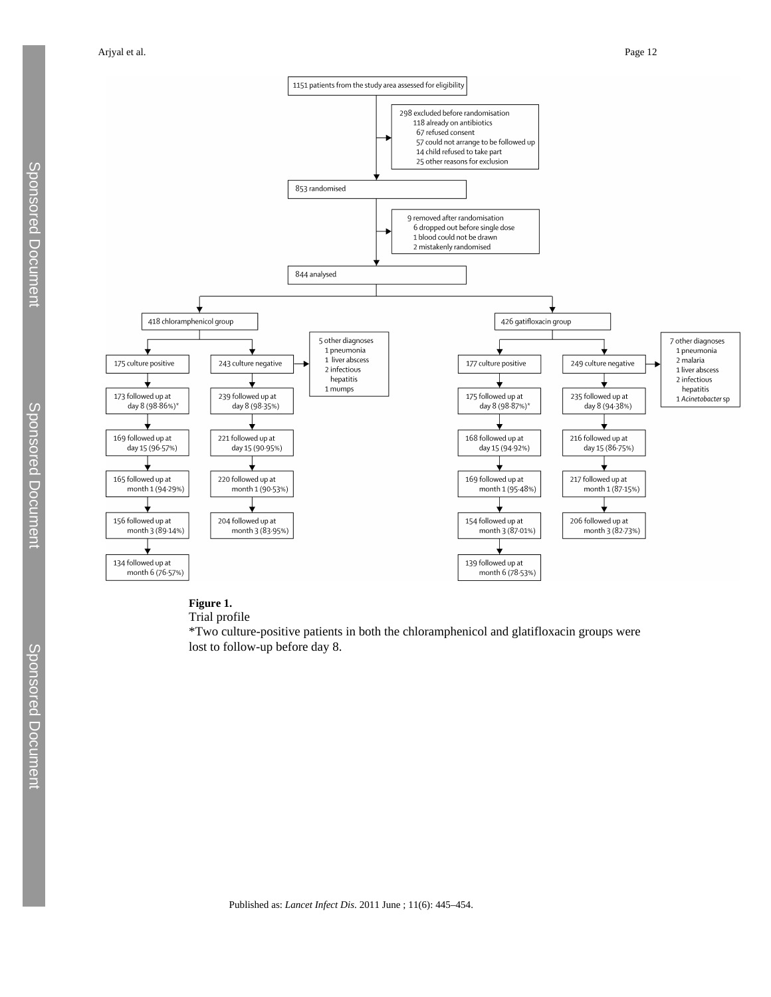Arjyal et al. Page 12



## **Figure 1.**

Trial profile

\*Two culture-positive patients in both the chloramphenicol and glatifloxacin groups were lost to follow-up before day 8.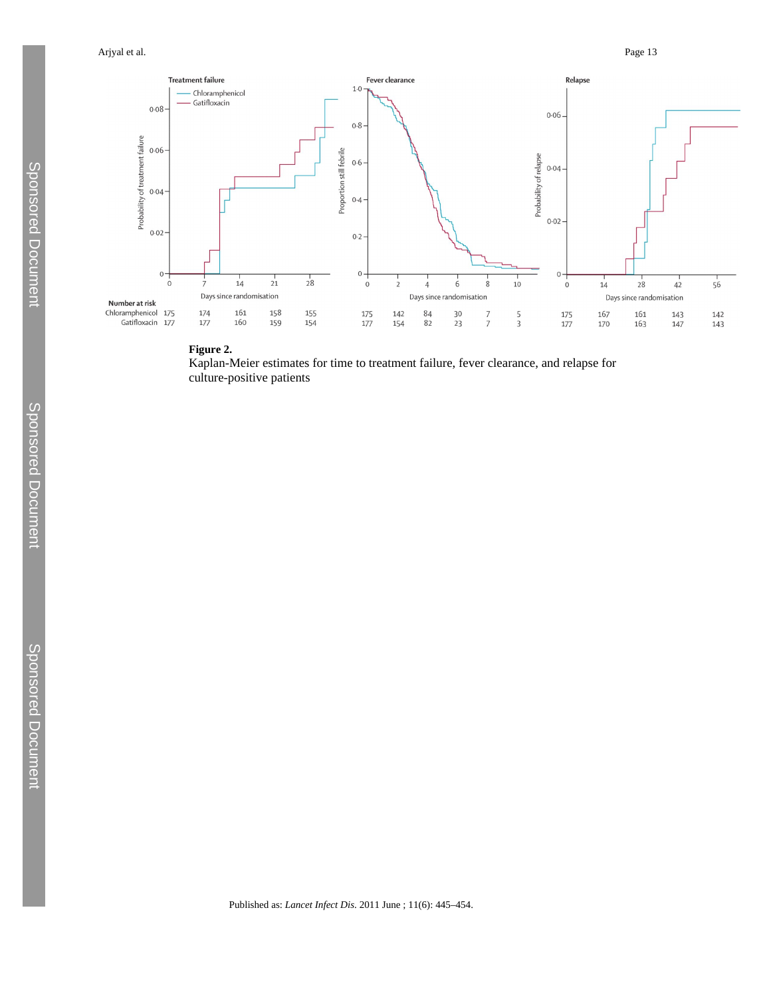

## **Figure 2.**

Kaplan-Meier estimates for time to treatment failure, fever clearance, and relapse for culture-positive patients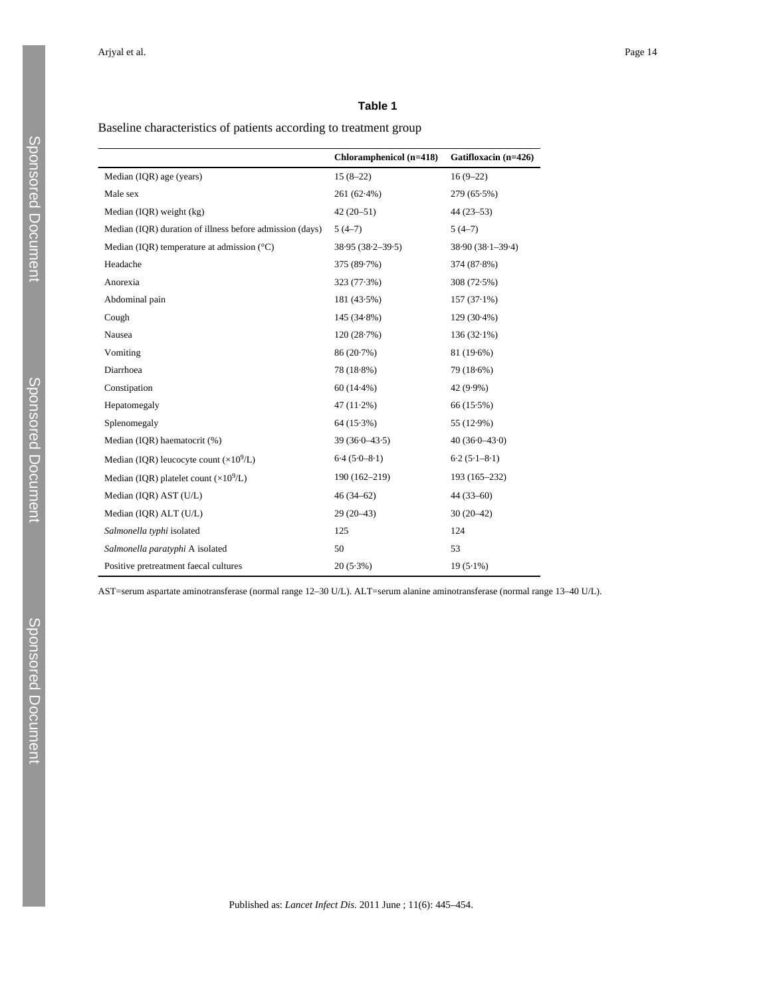Baseline characteristics of patients according to treatment group

|                                                          | Chloramphenicol (n=418) | Gatifloxacin (n=426) |
|----------------------------------------------------------|-------------------------|----------------------|
| Median (IQR) age (years)                                 | $15(8-22)$              | $16(9-22)$           |
| Male sex                                                 | 261 (62.4%)             | 279 (65.5%)          |
| Median (IQR) weight (kg)                                 | $42(20-51)$             | $44(23-53)$          |
| Median (IQR) duration of illness before admission (days) | $5(4-7)$                | $5(4-7)$             |
| Median (IQR) temperature at admission $(^{\circ}C)$      | $38.95(38.2 - 39.5)$    | $38.90(38.1 - 39.4)$ |
| Headache                                                 | 375 (89.7%)             | 374 (87.8%)          |
| Anorexia                                                 | 323 (77.3%)             | 308 (72.5%)          |
| Abdominal pain                                           | $181(43.5\%)$           | $157(37.1\%)$        |
| Cough                                                    | $145(34.8\%)$           | 129 (30.4%)          |
| Nausea                                                   | 120(28.7%)              | $136(32.1\%)$        |
| Vomiting                                                 | 86 (20.7%)              | 81 (19.6%)           |
| Diarrhoea                                                | 78 (18.8%)              | 79 (18.6%)           |
| Constipation                                             | $60(14.4\%)$            | 42 (9.9%)            |
| Hepatomegaly                                             | $47(11.2\%)$            | 66 (15.5%)           |
| Splenomegaly                                             | $64(15.3\%)$            | 55 (12.9%)           |
| Median (IQR) haematocrit (%)                             | $39(36.0 - 43.5)$       | $40(36.0-43.0)$      |
| Median (IQR) leucocyte count $(\times 10^9/L)$           | $6.4(5.0-8.1)$          | $6.2(5.1-8.1)$       |
| Median (IQR) platelet count $(\times 10^9/L)$            | 190 (162-219)           | 193 (165-232)        |
| Median (IQR) AST (U/L)                                   | $46(34-62)$             | $44(33-60)$          |
| Median (IQR) ALT (U/L)                                   | $29(20-43)$             | $30(20-42)$          |
| Salmonella typhi isolated                                | 125                     | 124                  |
| Salmonella paratyphi A isolated                          | 50                      | 53                   |
| Positive pretreatment faecal cultures                    | $20(5.3\%)$             | $19(5.1\%)$          |

AST=serum aspartate aminotransferase (normal range 12–30 U/L). ALT=serum alanine aminotransferase (normal range 13–40 U/L).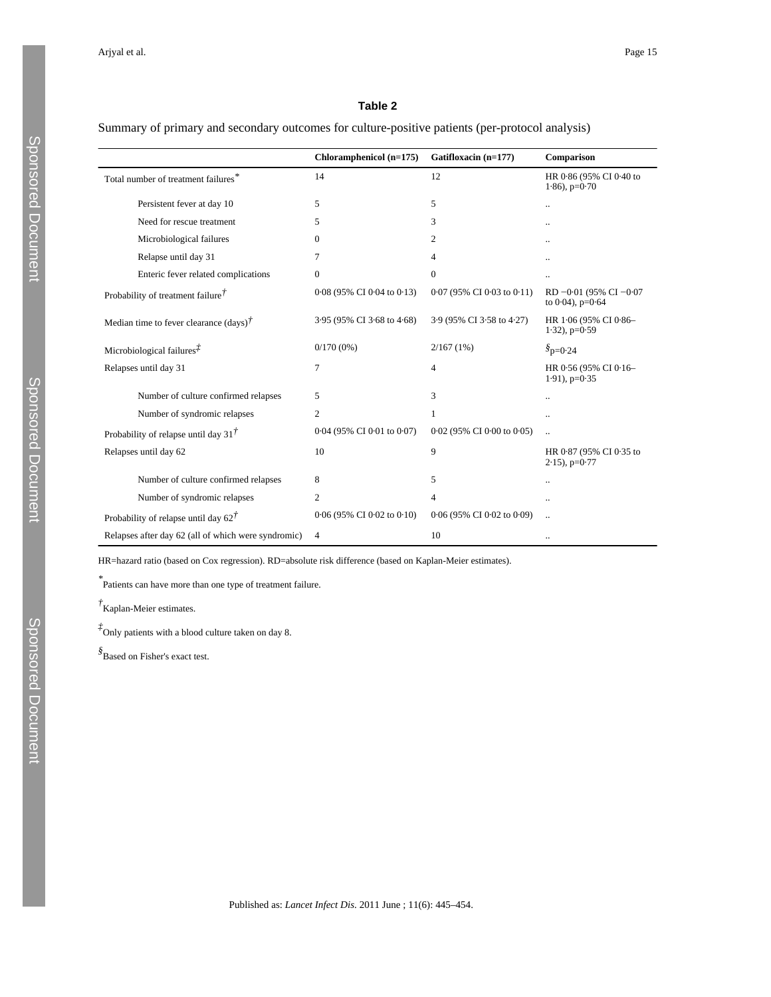## Summary of primary and secondary outcomes for culture-positive patients (per-protocol analysis)

|                                                     | Chloramphenicol (n=175)    | Gatifloxacin (n=177)         | Comparison                                          |
|-----------------------------------------------------|----------------------------|------------------------------|-----------------------------------------------------|
| Total number of treatment failures*                 | 14                         | 12                           | HR 0.86 (95% CI 0.40 to<br>$1.86$ , $p=0.70$        |
| Persistent fever at day 10                          | 5                          | 5                            | $\ddotsc$                                           |
| Need for rescue treatment                           | 5                          | 3                            | $\ddotsc$                                           |
| Microbiological failures                            | $\Omega$                   | 2                            | $\ddot{\phantom{a}}$                                |
| Relapse until day 31                                | 7                          | $\overline{4}$               | $\ddotsc$                                           |
| Enteric fever related complications                 | $\mathbf{0}$               | $\mathbf{0}$                 | $\ddot{\phantom{a}}$                                |
| Probability of treatment failure $\ddot{\tau}$      | 0.08 (95% CI 0.04 to 0.13) | $0.07$ (95% CI 0.03 to 0.11) | RD $-0.01$ (95% CI $-0.07$<br>to $0.04$ ), $p=0.64$ |
| Median time to fever clearance $(days)^{\dagger}$   | 3.95 (95% CI 3.68 to 4.68) | 3.9 (95% CI 3.58 to 4.27)    | HR 1.06 (95% CI 0.86-<br>$1.32$ ), $p=0.59$         |
| Microbiological failures $\bar{f}$                  | $0/170(0\%)$               | 2/167(1%)                    | $\delta_{\rm D=0.24}$                               |
| Relapses until day 31                               | 7                          | 4                            | HR 0.56 (95% CI 0.16-<br>$1.91$ ), $p=0.35$         |
| Number of culture confirmed relapses                | 5                          | 3                            | $\ddot{\phantom{a}}$                                |
| Number of syndromic relapses                        | $\overline{2}$             | 1                            | $\ddot{\phantom{a}}$                                |
| Probability of relapse until day 31 $\ddot{\tau}$   | 0.04 (95% CI 0.01 to 0.07) | $0.02$ (95% CI 0.00 to 0.05) | $\ddot{\phantom{a}}$                                |
| Relapses until day 62                               | 10                         | 9                            | HR 0.87 (95% CI 0.35 to<br>$2.15$ , p=0.77          |
| Number of culture confirmed relapses                | 8                          | 5                            | $\ldots$                                            |
| Number of syndromic relapses                        | $\overline{2}$             | 4                            | $\ddotsc$                                           |
| Probability of relapse until day $62^{\dagger}$     | 0.06 (95% CI 0.02 to 0.10) | 0.06 (95% CI 0.02 to 0.09)   | $\ddot{\phantom{a}}$                                |
| Relapses after day 62 (all of which were syndromic) | $\overline{4}$             | 10                           | $\ddotsc$                                           |

HR=hazard ratio (based on Cox regression). RD=absolute risk difference (based on Kaplan-Meier estimates).

*\** Patients can have more than one type of treatment failure.

*†* Kaplan-Meier estimates.

*‡* Only patients with a blood culture taken on day 8.

*§* Based on Fisher's exact test.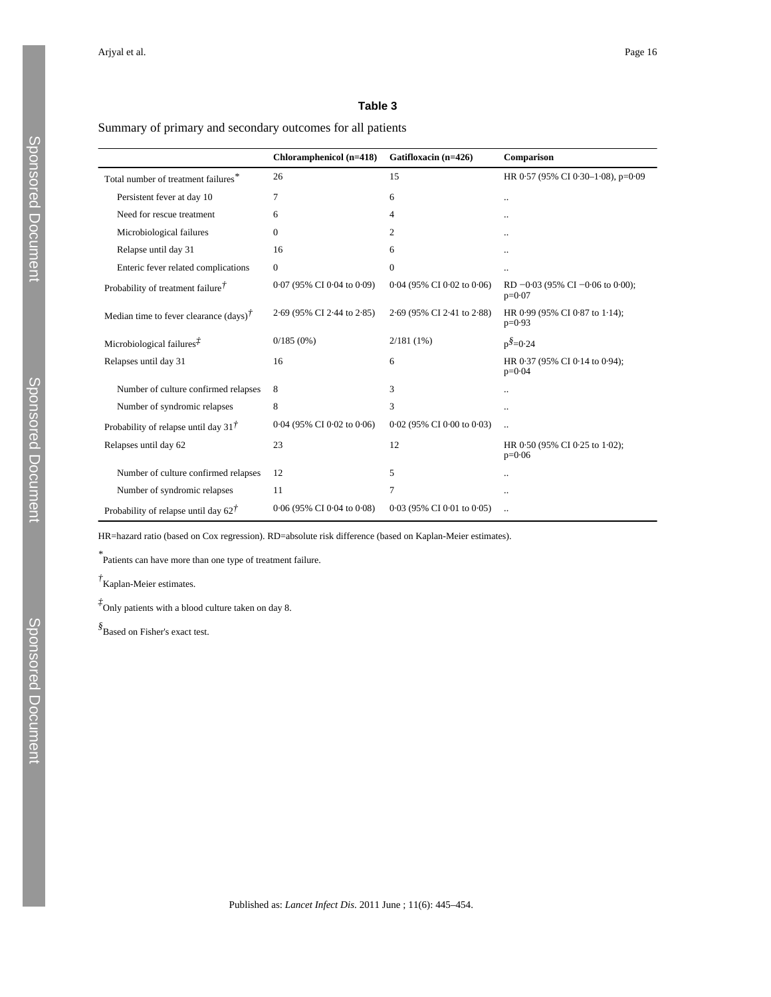## Summary of primary and secondary outcomes for all patients

|                                                      | Chloramphenicol (n=418)    | Gatifloxacin (n=426)         | Comparison                                       |
|------------------------------------------------------|----------------------------|------------------------------|--------------------------------------------------|
| Total number of treatment failures*                  | 26                         | 15                           | HR 0.57 (95% CI 0.30-1.08), p=0.09               |
| Persistent fever at day 10                           | 7                          | 6                            | $\ddot{\phantom{a}}$                             |
| Need for rescue treatment                            | 6                          | 4                            |                                                  |
| Microbiological failures                             | $\Omega$                   | $\overline{2}$               |                                                  |
| Relapse until day 31                                 | 16                         | 6                            |                                                  |
| Enteric fever related complications                  | $\mathbf{0}$               | $\mathbf{0}$                 | $\ddot{\phantom{a}}$                             |
| Probability of treatment failure $\bar{f}$           | 0.07 (95% CI 0.04 to 0.09) | 0.04 (95% CI 0.02 to 0.06)   | RD $-0.03$ (95% CI $-0.06$ to 0.00);<br>$p=0.07$ |
| Median time to fever clearance $(days)$ <sup>†</sup> | 2.69 (95% CI 2.44 to 2.85) | 2.69 (95% CI 2.41 to 2.88)   | HR 0.99 (95% CI 0.87 to 1.14);<br>$p=0.93$       |
| Microbiological failures $\bar{f}$                   | 0/185(0%)                  | $2/181(1\%)$                 | $p^{\$}=0.24$                                    |
| Relapses until day 31                                | 16                         | 6                            | HR 0.37 (95% CI 0.14 to 0.94);<br>$p=0.04$       |
| Number of culture confirmed relapses                 | 8                          | 3                            |                                                  |
| Number of syndromic relapses                         | 8                          | 3                            | $\ddot{\phantom{a}}$                             |
| Probability of relapse until day 31 $\ddot{\tau}$    | 0.04 (95% CI 0.02 to 0.06) | 0.02 (95% CI 0.00 to 0.03)   | $\ddotsc$                                        |
| Relapses until day 62                                | 23                         | 12                           | HR 0.50 (95% CI 0.25 to 1.02);<br>$p=0.06$       |
| Number of culture confirmed relapses                 | 12                         | 5                            |                                                  |
| Number of syndromic relapses                         | 11                         | 7                            |                                                  |
| Probability of relapse until day $62^{\dagger}$      | 0.06 (95% CI 0.04 to 0.08) | $0.03$ (95% CI 0.01 to 0.05) |                                                  |

HR=hazard ratio (based on Cox regression). RD=absolute risk difference (based on Kaplan-Meier estimates).

*\** Patients can have more than one type of treatment failure.

*†* Kaplan-Meier estimates.

*‡* Only patients with a blood culture taken on day 8.

*§* Based on Fisher's exact test.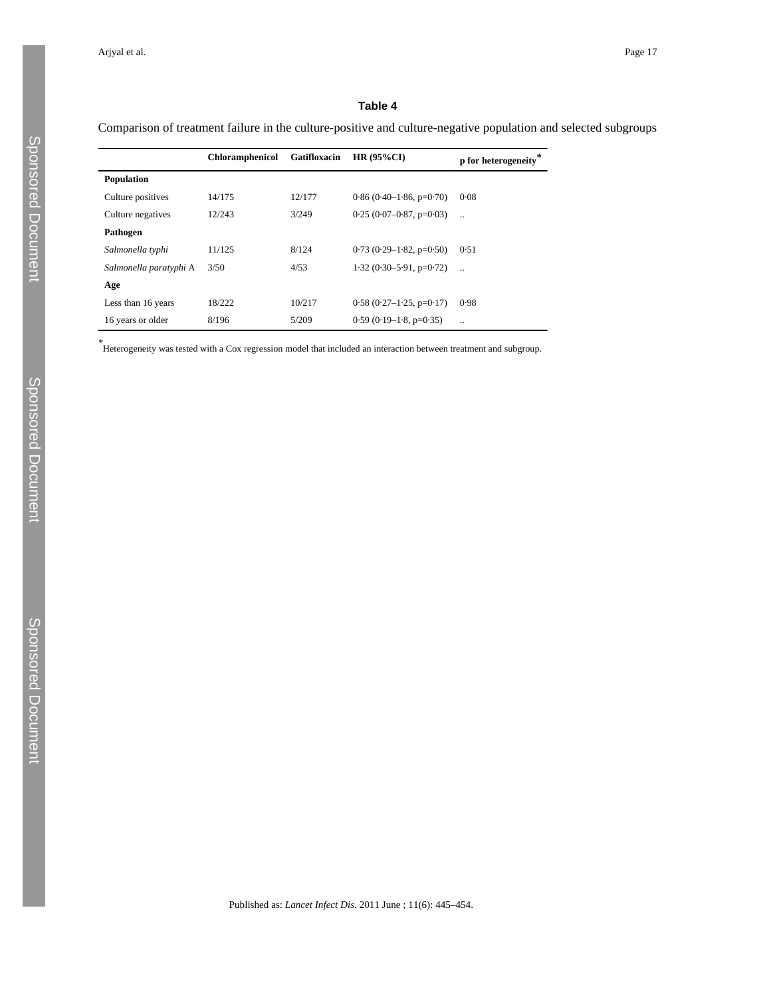Comparison of treatment failure in the culture-positive and culture-negative population and selected subgroups

|                        | Chloramphenicol | Gatifloxacin | HR $(95\%$ CI)            | p for heterogeneity |
|------------------------|-----------------|--------------|---------------------------|---------------------|
| <b>Population</b>      |                 |              |                           |                     |
| Culture positives      | 14/175          | 12/177       | $0.86(0.40-1.86, p=0.70)$ | 0.08                |
| Culture negatives      | 12/243          | 3/249        | $0.25(0.07-0.87, p=0.03)$ | $\ddotsc$           |
| Pathogen               |                 |              |                           |                     |
| Salmonella typhi       | 11/125          | 8/124        | $0.73(0.29-1.82, p=0.50)$ | 0.51                |
| Salmonella paratyphi A | 3/50            | 4/53         | $1.32(0.30-5.91, p=0.72)$ | $\ddotsc$           |
| Age                    |                 |              |                           |                     |
| Less than 16 years     | 18/222          | 10/217       | $0.58(0.27-1.25, p=0.17)$ | 0.98                |
| 16 years or older      | 8/196           | 5/209        | $0.59(0.19-1.8, p=0.35)$  |                     |

*\** Heterogeneity was tested with a Cox regression model that included an interaction between treatment and subgroup.

Published as: *Lancet Infect Dis*. 2011 June ; 11(6): 445–454.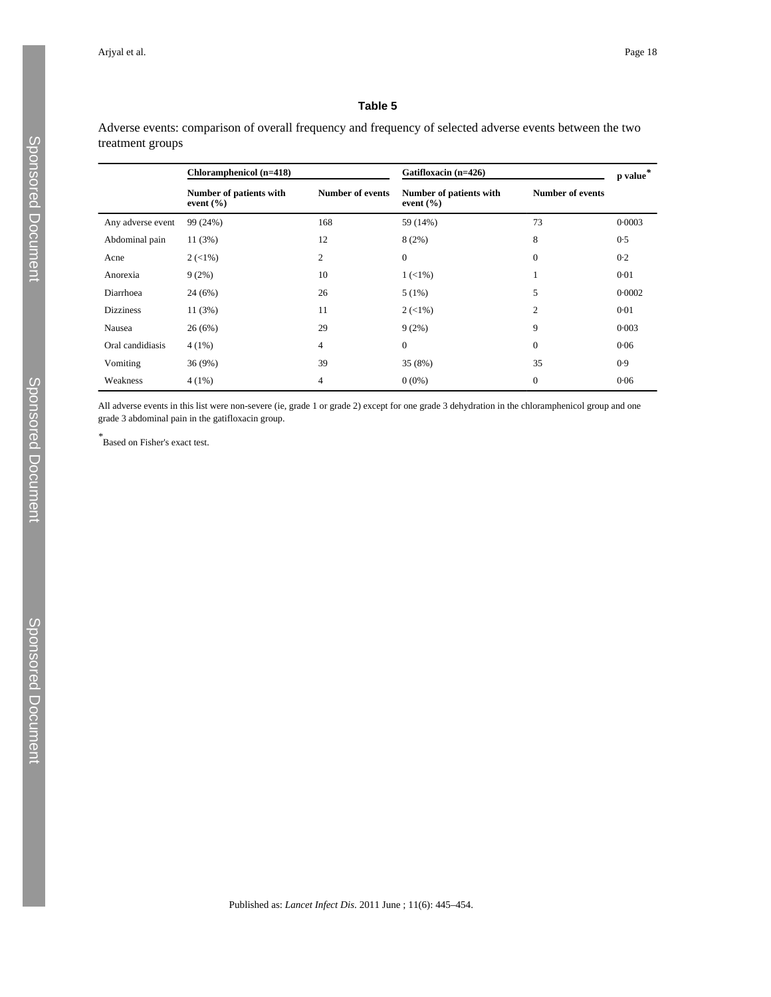Adverse events: comparison of overall frequency and frequency of selected adverse events between the two treatment groups

|                   | Chloramphenicol (n=418)                  |                         | Gatifloxacin (n=426)                     |                         | p value |
|-------------------|------------------------------------------|-------------------------|------------------------------------------|-------------------------|---------|
|                   | Number of patients with<br>event $(\% )$ | <b>Number of events</b> | Number of patients with<br>event $(\% )$ | <b>Number of events</b> |         |
| Any adverse event | 99 (24%)                                 | 168                     | 59 (14%)                                 | 73                      | 0.0003  |
| Abdominal pain    | 11 (3%)                                  | 12                      | 8(2%)                                    | 8                       | 0.5     |
| Acne              | $2 (< 1\%)$                              | 2                       | $\mathbf{0}$                             | $\mathbf{0}$            | 0.2     |
| Anorexia          | 9(2%)                                    | 10                      | $1 (< 1\%)$                              | -1                      | 0.01    |
| Diarrhoea         | 24(6%)                                   | 26                      | 5(1%)                                    | 5                       | 0.0002  |
| <b>Dizziness</b>  | 11(3%)                                   | 11                      | $2 (< 1\%)$                              | 2                       | 0.01    |
| Nausea            | 26(6%)                                   | 29                      | 9(2%)                                    | 9                       | 0.003   |
| Oral candidiasis  | $4(1\%)$                                 | $\overline{4}$          | $\Omega$                                 | $\mathbf{0}$            | 0.06    |
| Vomiting          | 36 (9%)                                  | 39                      | 35 (8%)                                  | 35                      | 0.9     |
| Weakness          | $4(1\%)$                                 | 4                       | $0(0\%)$                                 | $\mathbf{0}$            | 0.06    |

All adverse events in this list were non-severe (ie, grade 1 or grade 2) except for one grade 3 dehydration in the chloramphenicol group and one grade 3 abdominal pain in the gatifloxacin group.

*\** Based on Fisher's exact test.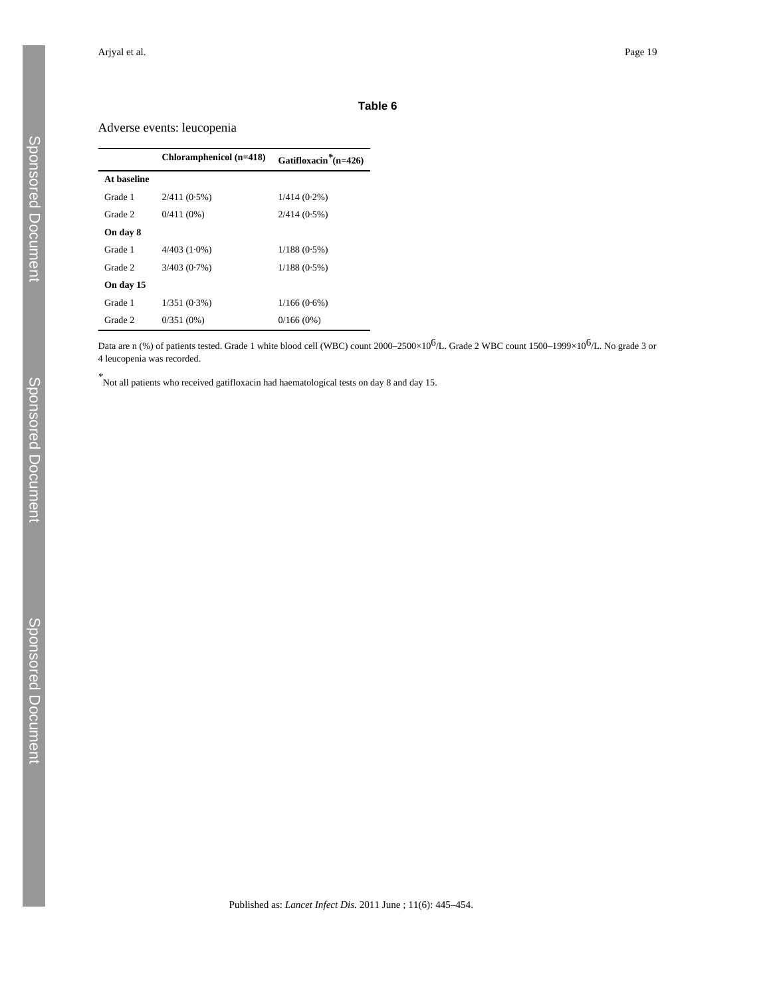## Adverse events: leucopenia

|             | Chloramphenicol (n=418) | Gatifloxacin <sup>*</sup> (n=426) |
|-------------|-------------------------|-----------------------------------|
| At baseline |                         |                                   |
| Grade 1     | $2/411(0.5\%)$          | $1/414(0.2\%)$                    |
| Grade 2     | $0/411(0\%)$            | $2/414(0.5\%)$                    |
| On day 8    |                         |                                   |
| Grade 1     | $4/403(1.0\%)$          | $1/188(0.5\%)$                    |
| Grade 2     | $3/403(0.7\%)$          | $1/188(0.5\%)$                    |
| On day 15   |                         |                                   |
| Grade 1     | $1/351(0.3\%)$          | $1/166(0.6\%)$                    |
| Grade 2     | $0/351(0\%)$            | 0/166(0%)                         |

Data are n (%) of patients tested. Grade 1 white blood cell (WBC) count 2000–2500×10<sup>6</sup>/L. Grade 2 WBC count 1500–1999×10<sup>6</sup>/L. No grade 3 or 4 leucopenia was recorded.

*\** Not all patients who received gatifloxacin had haematological tests on day 8 and day 15.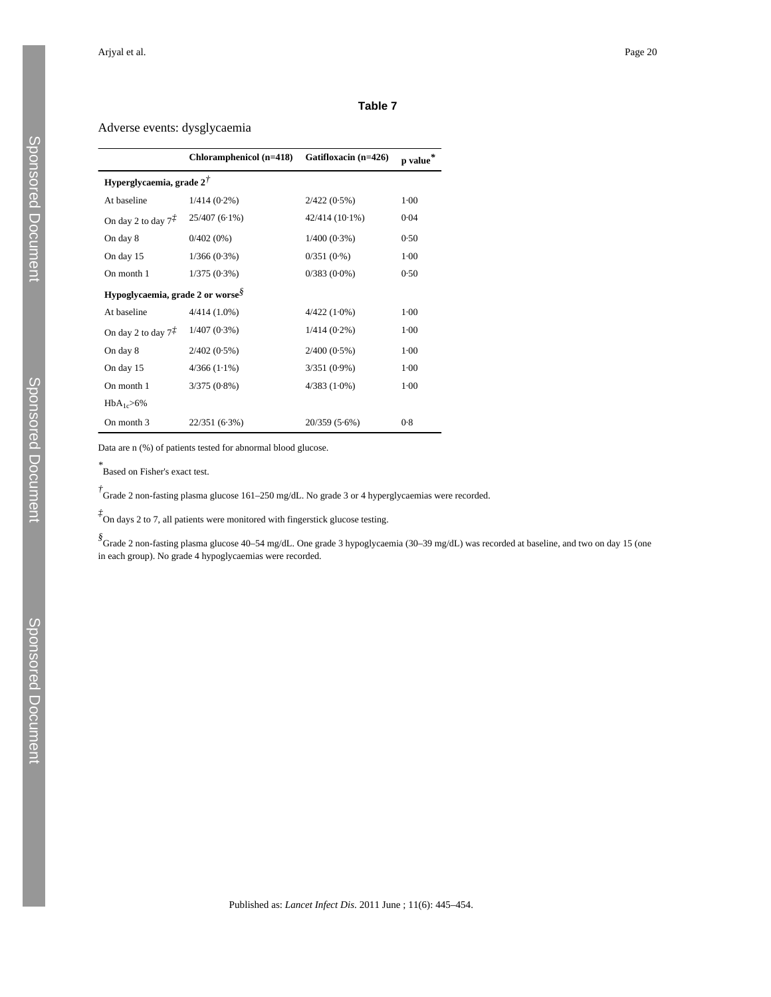## Adverse events: dysglycaemia

|                                              | Chloramphenicol (n=418) | Gatifloxacin (n=426) | $\, {\bf p}$ value $\,$ |  |
|----------------------------------------------|-------------------------|----------------------|-------------------------|--|
| Hyperglycaemia, grade $2^{\dagger}$          |                         |                      |                         |  |
| At baseline                                  | $1/414(0.2\%)$          | $2/422(0.5\%)$       | $1-00$                  |  |
| On day 2 to day $7^{\ddagger}$               | $25/407(6.1\%)$         | $42/414(10.1\%)$     | 0.04                    |  |
| On day 8                                     | $0/402(0\%)$            | $1/400(0.3\%)$       | 0.50                    |  |
| On day 15                                    | $1/366(0.3\%)$          | 0/351(0.%)           | $1-00$                  |  |
| On month 1                                   | $1/375(0.3\%)$          | $0/383(0.0\%)$       | 0.50                    |  |
| Hypoglycaemia, grade 2 or worse <sup>§</sup> |                         |                      |                         |  |
| At baseline                                  | $4/414(1.0\%)$          | $4/422(1.0\%)$       | $1-00$                  |  |
| On day 2 to day $7\ddot{+}$                  | $1/407(0.3\%)$          | $1/414(0.2\%)$       | $1-00$                  |  |
| On day 8                                     | $2/402(0.5\%)$          | $2/400(0.5\%)$       | $1 - 00$                |  |
| On day 15                                    | $4/366(1.1\%)$          | $3/351(0.9\%)$       | $1-00$                  |  |
| On month 1                                   | $3/375(0.8\%)$          | $4/383(1.0\%)$       | $1-00$                  |  |
| $HbA_{1c} > 6%$                              |                         |                      |                         |  |
| On month 3                                   | 22/351 (6.3%)           | $20/359(5.6\%)$      | 0.8                     |  |

Data are n (%) of patients tested for abnormal blood glucose.

*\** Based on Fisher's exact test.

<sup>†</sup><br>Grade 2 non-fasting plasma glucose 161–250 mg/dL. No grade 3 or 4 hyperglycaemias were recorded.

*‡* On days 2 to 7, all patients were monitored with fingerstick glucose testing.

*§* Grade 2 non-fasting plasma glucose 40–54 mg/dL. One grade 3 hypoglycaemia (30–39 mg/dL) was recorded at baseline, and two on day 15 (one in each group). No grade 4 hypoglycaemias were recorded.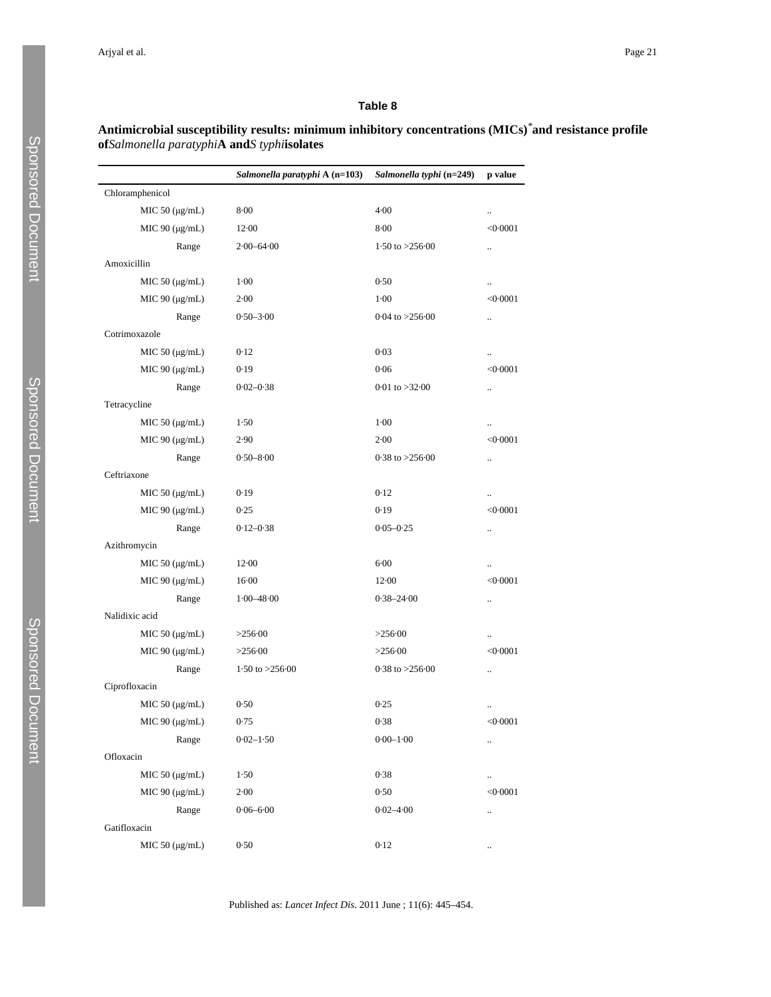## **Antimicrobial susceptibility results: minimum inhibitory concentrations (MICs)***\****and resistance profile of***Salmonella paratyphi***A and***S typhi***isolates**

|                        | Salmonella paratyphi A (n=103) | Salmonella typhi (n=249) | p value              |
|------------------------|--------------------------------|--------------------------|----------------------|
| Chloramphenicol        |                                |                          |                      |
| MIC $50 \, (\mu g/mL)$ | 8.00                           | $4 - 00$                 | $\ldots$             |
| MIC 90 $(\mu g/mL)$    | $12-00$                        | 8.00                     | < 0.0001             |
| Range                  | $2.00 - 64.00$                 | 1.50 to $>256.00$        | $\ldots$             |
| Amoxicillin            |                                |                          |                      |
| MIC $50 \, (\mu g/mL)$ | $1-00$                         | 0.50                     | $\ddotsc$            |
| MIC $90 \, (\mu g/mL)$ | $2 - 00$                       | $1 - 00$                 | < 0.0001             |
| Range                  | $0.50 - 3.00$                  | $0.04$ to $>256.00$      | $\ldots$             |
| Cotrimoxazole          |                                |                          |                      |
| MIC $50 \, (\mu g/mL)$ | 0.12                           | 0.03                     | $\ldots$             |
| MIC $90 \, (\mu g/mL)$ | 0.19                           | 0.06                     | < 0.0001             |
| Range                  | $0.02 - 0.38$                  | $0.01$ to $>32.00$       | $\ddotsc$            |
| Tetracycline           |                                |                          |                      |
| MIC $50 \, (\mu g/mL)$ | 1.50                           | $1 - 00$                 | $\ldots$             |
| MIC 90 $(\mu$ g/mL)    | 2.90                           | $2 - 00$                 | < 0.0001             |
| Range                  | $0.50 - 8.00$                  | $0.38$ to $>256.00$      | $\ldots$             |
| Ceftriaxone            |                                |                          |                      |
| MIC $50 \, (\mu g/mL)$ | 0.19                           | 0.12                     | $\ddotsc$            |
| MIC $90 \, (\mu g/mL)$ | 0.25                           | 0.19                     | < 0.0001             |
| Range                  | $0.12 - 0.38$                  | $0.05 - 0.25$            | $\ldots$             |
| Azithromycin           |                                |                          |                      |
| MIC 50 $(\mu g/mL)$    | $12-00$                        | $6 - 00$                 | $\ldots$             |
| MIC $90 \, (\mu g/mL)$ | $16-00$                        | $12-00$                  | < 0.0001             |
| Range                  | $1.00 - 48.00$                 | $0.38 - 24.00$           | $\ddot{\phantom{a}}$ |
| Nalidixic acid         |                                |                          |                      |
| MIC $50 \, (\mu g/mL)$ | >256.00                        | >256.00                  | $\ldots$             |
| MIC 90 $(\mu$ g/mL)    | >256.00                        | >256.00                  | < 0.0001             |
| Range                  | 1.50 to $>256.00$              | $0.38$ to $>256.00$      | $\ldots$             |
| Ciprofloxacin          |                                |                          |                      |
| MIC $50 \, (\mu g/mL)$ | 0.50                           | 0.25                     | $\ldots$             |
| MIC $90 \, (\mu g/mL)$ | 0.75                           | 0.38                     | < 0.0001             |
| Range                  | $0.02 - 1.50$                  | $0.00 - 1.00$            | $\ldots$             |
| Ofloxacin              |                                |                          |                      |
| $MIC 50 (\mu g/mL)$    | 1.50                           | 0.38                     | $\ddot{\phantom{1}}$ |
| MIC 90 $(\mu g/mL)$    | $2 - 00$                       | 0.50                     | < 0.0001             |
| Range                  | $0.06 - 6.00$                  | $0.02 - 4.00$            | $\ldots$             |
| Gatifloxacin           |                                |                          |                      |
| MIC 50 (µg/mL)         | 0.50                           | 0.12                     | $\ldots$             |

Published as: *Lancet Infect Dis*. 2011 June ; 11(6): 445–454.